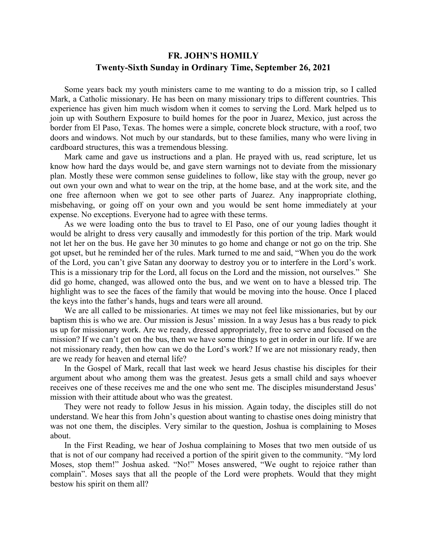## **FR. JOHN'S HOMILY Twenty-Sixth Sunday in Ordinary Time, September 26, 2021**

 Some years back my youth ministers came to me wanting to do a mission trip, so I called Mark, a Catholic missionary. He has been on many missionary trips to different countries. This experience has given him much wisdom when it comes to serving the Lord. Mark helped us to join up with Southern Exposure to build homes for the poor in Juarez, Mexico, just across the border from El Paso, Texas. The homes were a simple, concrete block structure, with a roof, two doors and windows. Not much by our standards, but to these families, many who were living in cardboard structures, this was a tremendous blessing.

 Mark came and gave us instructions and a plan. He prayed with us, read scripture, let us know how hard the days would be, and gave stern warnings not to deviate from the missionary plan. Mostly these were common sense guidelines to follow, like stay with the group, never go out own your own and what to wear on the trip, at the home base, and at the work site, and the one free afternoon when we got to see other parts of Juarez. Any inappropriate clothing, misbehaving, or going off on your own and you would be sent home immediately at your expense. No exceptions. Everyone had to agree with these terms.

 As we were loading onto the bus to travel to El Paso, one of our young ladies thought it would be alright to dress very causally and immodestly for this portion of the trip. Mark would not let her on the bus. He gave her 30 minutes to go home and change or not go on the trip. She got upset, but he reminded her of the rules. Mark turned to me and said, "When you do the work of the Lord, you can't give Satan any doorway to destroy you or to interfere in the Lord's work. This is a missionary trip for the Lord, all focus on the Lord and the mission, not ourselves." She did go home, changed, was allowed onto the bus, and we went on to have a blessed trip. The highlight was to see the faces of the family that would be moving into the house. Once I placed the keys into the father's hands, hugs and tears were all around.

 We are all called to be missionaries. At times we may not feel like missionaries, but by our baptism this is who we are. Our mission is Jesus' mission. In a way Jesus has a bus ready to pick us up for missionary work. Are we ready, dressed appropriately, free to serve and focused on the mission? If we can't get on the bus, then we have some things to get in order in our life. If we are not missionary ready, then how can we do the Lord's work? If we are not missionary ready, then are we ready for heaven and eternal life?

 In the Gospel of Mark, recall that last week we heard Jesus chastise his disciples for their argument about who among them was the greatest. Jesus gets a small child and says whoever receives one of these receives me and the one who sent me. The disciples misunderstand Jesus' mission with their attitude about who was the greatest.

 They were not ready to follow Jesus in his mission. Again today, the disciples still do not understand. We hear this from John's question about wanting to chastise ones doing ministry that was not one them, the disciples. Very similar to the question, Joshua is complaining to Moses about.

 In the First Reading, we hear of Joshua complaining to Moses that two men outside of us that is not of our company had received a portion of the spirit given to the community. "My lord Moses, stop them!" Joshua asked. "No!" Moses answered, "We ought to rejoice rather than complain". Moses says that all the people of the Lord were prophets. Would that they might bestow his spirit on them all?